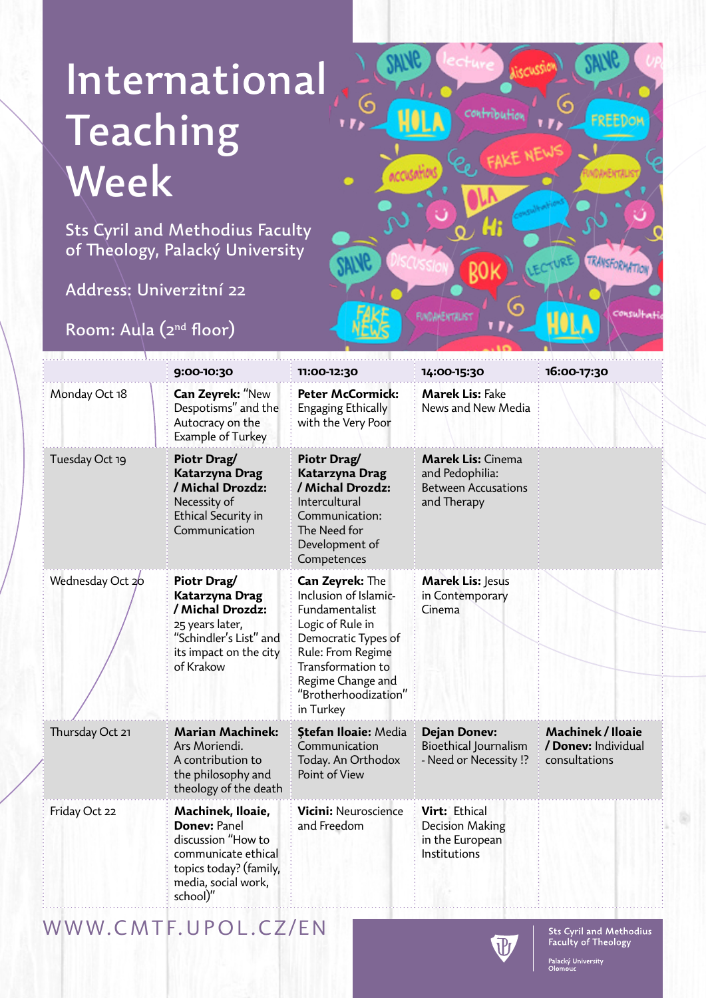# International Teaching Week

Sts Cyril and Methodius Faculty of Theology, Palacký University

Address: Univerzitní 22

Room: Aula (2nd floor)



|                  | 9:00-10:30                                                                                                                                         | 11:00-12:30                                                                                                                                                                                               | 14:00-15:30                                                                              | 16:00-17:30                                               |
|------------------|----------------------------------------------------------------------------------------------------------------------------------------------------|-----------------------------------------------------------------------------------------------------------------------------------------------------------------------------------------------------------|------------------------------------------------------------------------------------------|-----------------------------------------------------------|
| Monday Oct 18    | Can Zeyrek: "New<br>Despotisms" and the<br>Autocracy on the<br>Example of Turkey                                                                   | <b>Peter McCormick:</b><br>Engaging Ethically<br>with the Very Poor                                                                                                                                       | <b>Marek Lis: Fake</b><br>News and New Media                                             |                                                           |
| Tuesday Oct 19   | Piotr Drag/<br><b>Katarzyna Drag</b><br>/ Michal Drozdz:<br>Necessity of<br>Ethical Security in<br>Communication                                   | Piotr Drag/<br>Katarzyna Drag<br>/ Michal Drozdz:<br>Intercultural<br>Communication:<br>The Need for<br>Development of<br>Competences                                                                     | <b>Marek Lis: Cinema</b><br>and Pedophilia:<br><b>Between Accusations</b><br>and Therapy |                                                           |
| Wednesday Oct 20 | Piotr Drag/<br><b>Katarzyna Drag</b><br>/ Michal Drozdz:<br>25 years later,<br>"Schindler's List" and<br>its impact on the city<br>of Krakow       | Can Zeyrek: The<br>Inclusion of Islamic-<br>Fundamentalist<br>Logic of Rule in<br>Democratic Types of<br>Rule: From Regime<br>Transformation to<br>Regime Change and<br>"Brotherhoodization'<br>in Turkey | Marek Lis: Jesus<br>in Contemporary<br>Cinema                                            |                                                           |
| Thursday Oct 21  | <b>Marian Machinek:</b><br>Ars Moriendi.<br>A contribution to<br>the philosophy and<br>theology of the death                                       | <b>Ștefan Iloaie: Media</b><br>Communication<br>Today. An Orthodox<br>Point of View                                                                                                                       | <b>Dejan Donev:</b><br>Bioethical Journalism<br>- Need or Necessity !?                   | Machinek / Iloaie<br>/ Donev: Individual<br>consultations |
| Friday Oct 22    | Machinek, Iloaie,<br><b>Doney: Panel</b><br>discussion "How to<br>communicate ethical<br>topics today? (family,<br>media, social work,<br>school)" | <b>Vicini: Neuroscience</b><br>and Freedom                                                                                                                                                                | Virt: Ethical<br>Decision Making<br>in the European<br>Institutions                      |                                                           |

WWW.CMTF.UPOL.CZ/EN



Palacký University